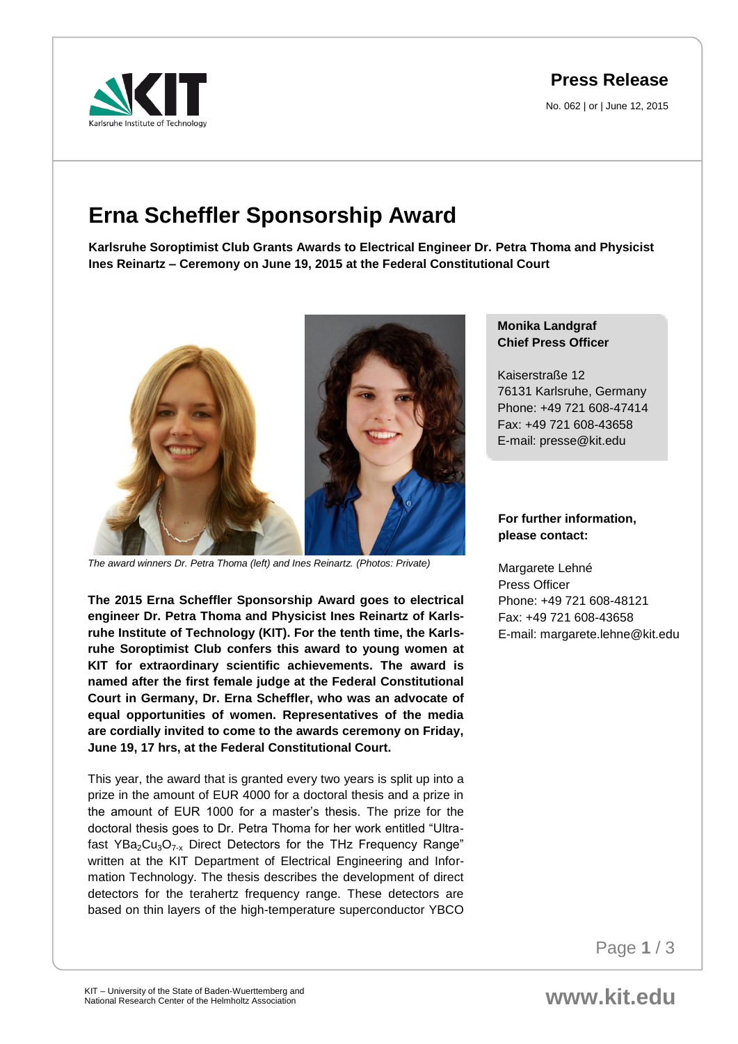arlsruhe Institute of Technology

# **Press Release**

No. 062 | or | June 12, 2015

# **Erna Scheffler Sponsorship Award**

**Karlsruhe Soroptimist Club Grants Awards to Electrical Engineer Dr. Petra Thoma and Physicist Ines Reinartz – Ceremony on June 19, 2015 at the Federal Constitutional Court**



*The award winners Dr. Petra Thoma (left) and Ines Reinartz. (Photos: Private)*

**The 2015 Erna Scheffler Sponsorship Award goes to electrical engineer Dr. Petra Thoma and Physicist Ines Reinartz of Karlsruhe Institute of Technology (KIT). For the tenth time, the Karlsruhe Soroptimist Club confers this award to young women at KIT for extraordinary scientific achievements. The award is named after the first female judge at the Federal Constitutional Court in Germany, Dr. Erna Scheffler, who was an advocate of equal opportunities of women. Representatives of the media are cordially invited to come to the awards ceremony on Friday, June 19, 17 hrs, at the Federal Constitutional Court.**

This year, the award that is granted every two years is split up into a prize in the amount of EUR 4000 for a doctoral thesis and a prize in the amount of EUR 1000 for a master's thesis. The prize for the doctoral thesis goes to Dr. Petra Thoma for her work entitled "Ultrafast  $YBa<sub>2</sub>Cu<sub>3</sub>O<sub>7-x</sub>$  Direct Detectors for the THz Frequency Range" written at the KIT Department of Electrical Engineering and Information Technology. The thesis describes the development of direct detectors for the terahertz frequency range. These detectors are based on thin layers of the high-temperature superconductor YBCO

## **Monika Landgraf Chief Press Officer**

Kaiserstraße 12 76131 Karlsruhe, Germany Phone: +49 721 608-47414 Fax: +49 721 608-43658 E-mail: presse@kit.edu

### **For further information, please contact:**

Margarete Lehné Press Officer Phone: +49 721 608-48121 Fax: +49 721 608-43658 E-mail: margarete.lehne@kit.edu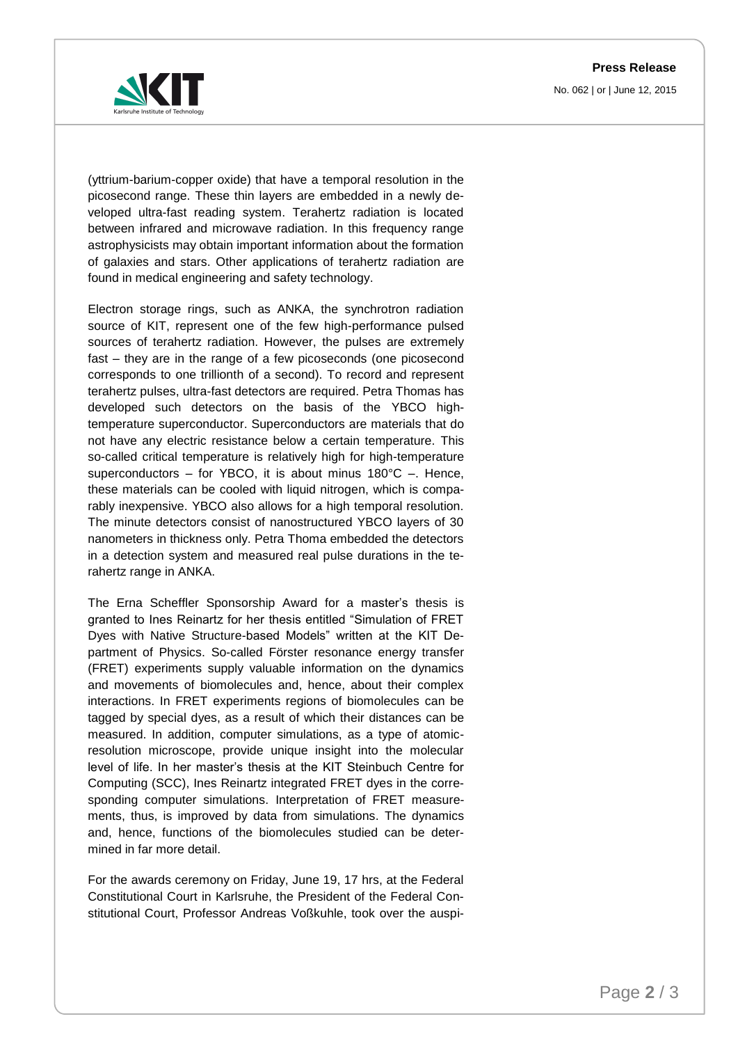**Press Release** No. 062 | or | June 12, 2015



(yttrium-barium-copper oxide) that have a temporal resolution in the picosecond range. These thin layers are embedded in a newly developed ultra-fast reading system. Terahertz radiation is located between infrared and microwave radiation. In this frequency range astrophysicists may obtain important information about the formation of galaxies and stars. Other applications of terahertz radiation are found in medical engineering and safety technology.

Electron storage rings, such as ANKA, the synchrotron radiation source of KIT, represent one of the few high-performance pulsed sources of terahertz radiation. However, the pulses are extremely fast – they are in the range of a few picoseconds (one picosecond corresponds to one trillionth of a second). To record and represent terahertz pulses, ultra-fast detectors are required. Petra Thomas has developed such detectors on the basis of the YBCO hightemperature superconductor. Superconductors are materials that do not have any electric resistance below a certain temperature. This so-called critical temperature is relatively high for high-temperature superconductors – for YBCO, it is about minus 180°C –. Hence, these materials can be cooled with liquid nitrogen, which is comparably inexpensive. YBCO also allows for a high temporal resolution. The minute detectors consist of nanostructured YBCO layers of 30 nanometers in thickness only. Petra Thoma embedded the detectors in a detection system and measured real pulse durations in the terahertz range in ANKA.

The Erna Scheffler Sponsorship Award for a master's thesis is granted to Ines Reinartz for her thesis entitled "Simulation of FRET Dyes with Native Structure-based Models" written at the KIT Department of Physics. So-called Förster resonance energy transfer (FRET) experiments supply valuable information on the dynamics and movements of biomolecules and, hence, about their complex interactions. In FRET experiments regions of biomolecules can be tagged by special dyes, as a result of which their distances can be measured. In addition, computer simulations, as a type of atomicresolution microscope, provide unique insight into the molecular level of life. In her master's thesis at the KIT Steinbuch Centre for Computing (SCC), Ines Reinartz integrated FRET dyes in the corresponding computer simulations. Interpretation of FRET measurements, thus, is improved by data from simulations. The dynamics and, hence, functions of the biomolecules studied can be determined in far more detail.

For the awards ceremony on Friday, June 19, 17 hrs, at the Federal Constitutional Court in Karlsruhe, the President of the Federal Constitutional Court, Professor Andreas Voßkuhle, took over the auspi-